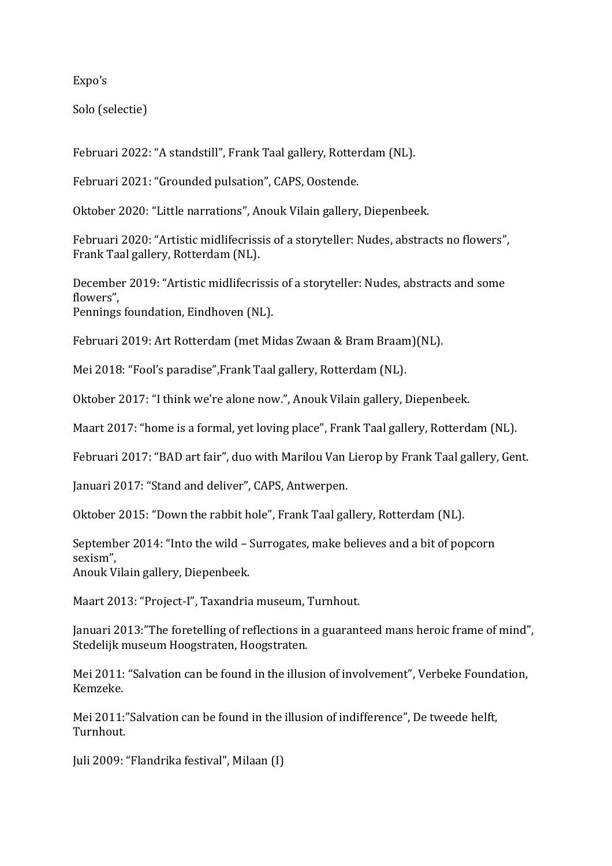Expo's

Solo (selectie)

Februari 2022: "A standstill", Frank Taal gallery, Rotterdam (NL).

Februari 2021: "Grounded pulsation", CAPS, Oostende.

Oktober 2020: "Little narrations", Anouk Vilain gallery, Diepenbeek.

Februari 2020: "Artistic midlifecrissis of a storyteller: Nudes, abstracts no flowers", Frank Taal gallery, Rotterdam (NL).

December 2019: "Artistic midlifecrissis of a storyteller: Nudes, abstracts and some flowers", Pennings foundation, Eindhoven (NL).

Februari 2019: Art Rotterdam (met Midas Zwaan & Bram Braam)(NL).

Mei 2018: "Fool's paradise",Frank Taal gallery, Rotterdam (NL).

Oktober 2017: "I think we're alone now.", Anouk Vilain gallery, Diepenbeek.

Maart 2017: "home is a formal, yet loving place", Frank Taal gallery, Rotterdam (NL).

Februari 2017: "BAD art fair", duo with Marilou Van Lierop by Frank Taal gallery, Gent.

Januari 2017: "Stand and deliver", CAPS, Antwerpen.

Oktober 2015: "Down the rabbit hole", Frank Taal gallery, Rotterdam (NL).

September 2014: "Into the wild – Surrogates, make believes and a bit of popcorn sexism", Anouk Vilain gallery, Diepenbeek.

Maart 2013: "Project-I", Taxandria museum, Turnhout.

Januari 2013:"The foretelling of reflections in a guaranteed mans heroic frame of mind", Stedelijk museum Hoogstraten, Hoogstraten.

Mei 2011: "Salvation can be found in the illusion of involvement", Verbeke Foundation, Kemzeke.

Mei 2011:"Salvation can be found in the illusion of indifference", De tweede helft, Turnhout.

Juli 2009: "Flandrika festival", Milaan (I)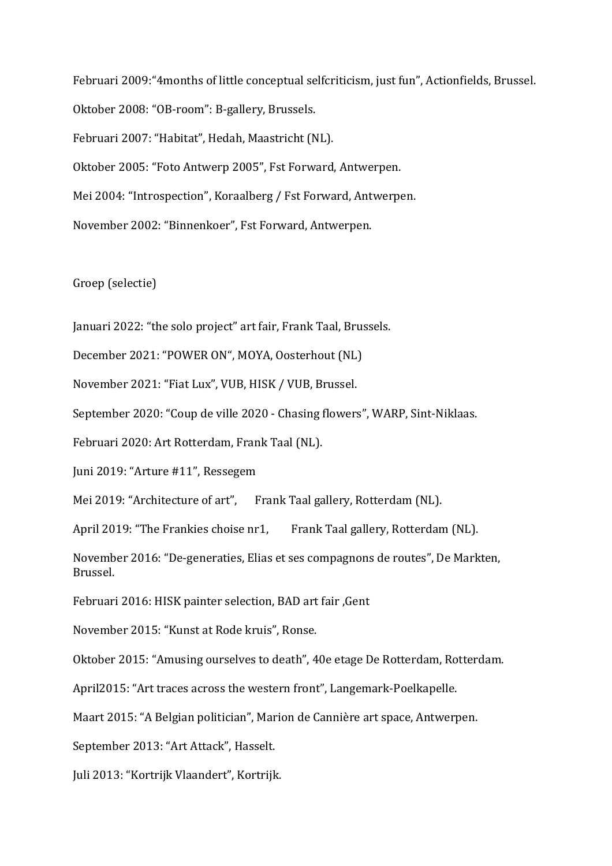Februari 2009:"4months of little conceptual selfcriticism, just fun", Actionfields, Brussel. Oktober 2008: "OB-room": B-gallery, Brussels. Februari 2007: "Habitat", Hedah, Maastricht (NL). Oktober 2005: "Foto Antwerp 2005", Fst Forward, Antwerpen. Mei 2004: "Introspection", Koraalberg / Fst Forward, Antwerpen. November 2002: "Binnenkoer", Fst Forward, Antwerpen.

Groep (selectie)

Januari 2022: "the solo project" art fair, Frank Taal, Brussels.

December 2021: "POWER ON", MOYA, Oosterhout (NL)

November 2021: "Fiat Lux", VUB, HISK / VUB, Brussel.

September 2020: "Coup de ville 2020 - Chasing flowers", WARP, Sint-Niklaas.

Februari 2020: Art Rotterdam, Frank Taal (NL).

Juni 2019: "Arture #11", Ressegem

Mei 2019: "Architecture of art", Frank Taal gallery, Rotterdam (NL).

April 2019: "The Frankies choise nr1, Frank Taal gallery, Rotterdam (NL).

November 2016: "De-generaties, Elias et ses compagnons de routes", De Markten, Brussel.

Februari 2016: HISK painter selection, BAD art fair ,Gent

November 2015: "Kunst at Rode kruis", Ronse.

Oktober 2015: "Amusing ourselves to death", 40e etage De Rotterdam, Rotterdam.

April2015: "Art traces across the western front", Langemark-Poelkapelle.

Maart 2015: "A Belgian politician", Marion de Cannière art space, Antwerpen.

September 2013: "Art Attack", Hasselt.

Juli 2013: "Kortrijk Vlaandert", Kortrijk.